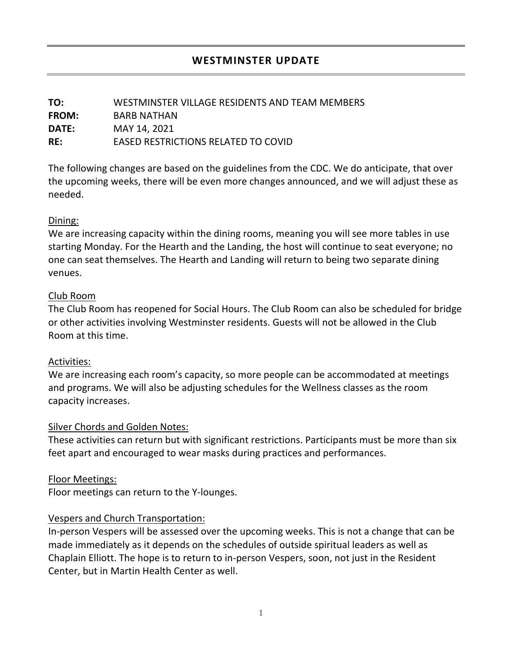| TO:          | WESTMINSTER VILLAGE RESIDENTS AND TEAM MEMBERS |
|--------------|------------------------------------------------|
| <b>FROM:</b> | BARB NATHAN                                    |
| DATE:        | MAY 14, 2021                                   |
| RE:          | EASED RESTRICTIONS RELATED TO COVID            |

The following changes are based on the guidelines from the CDC. We do anticipate, that over the upcoming weeks, there will be even more changes announced, and we will adjust these as needed.

# Dining:

We are increasing capacity within the dining rooms, meaning you will see more tables in use starting Monday. For the Hearth and the Landing, the host will continue to seat everyone; no one can seat themselves. The Hearth and Landing will return to being two separate dining venues.

# Club Room

The Club Room has reopened for Social Hours. The Club Room can also be scheduled for bridge or other activities involving Westminster residents. Guests will not be allowed in the Club Room at this time.

# Activities:

We are increasing each room's capacity, so more people can be accommodated at meetings and programs. We will also be adjusting schedules for the Wellness classes as the room capacity increases.

# Silver Chords and Golden Notes:

These activities can return but with significant restrictions. Participants must be more than six feet apart and encouraged to wear masks during practices and performances.

## Floor Meetings:

Floor meetings can return to the Y-lounges.

# Vespers and Church Transportation:

In-person Vespers will be assessed over the upcoming weeks. This is not a change that can be made immediately as it depends on the schedules of outside spiritual leaders as well as Chaplain Elliott. The hope is to return to in-person Vespers, soon, not just in the Resident Center, but in Martin Health Center as well.